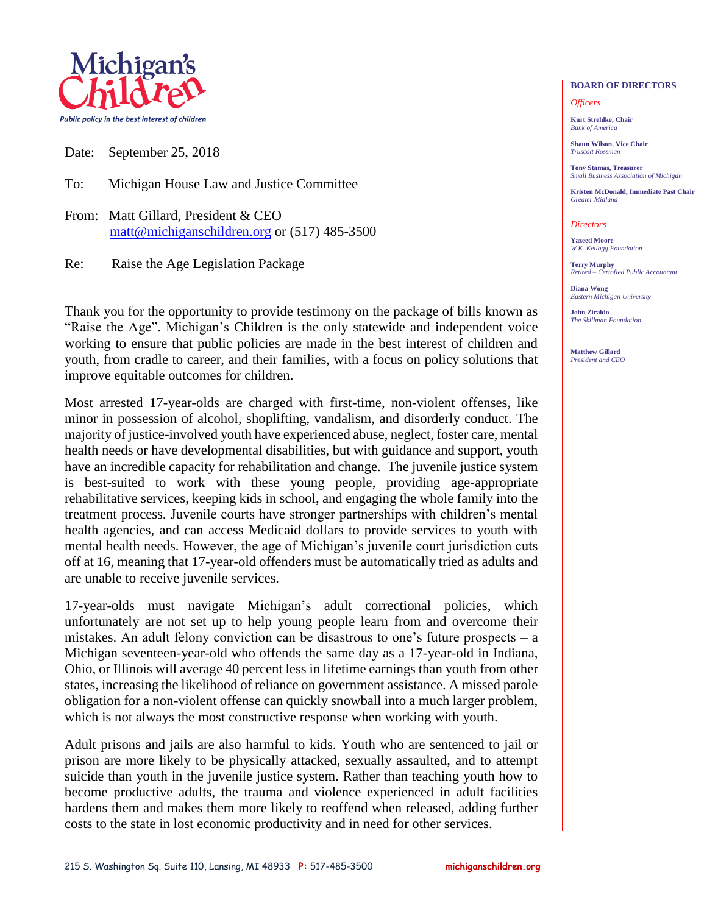

Date: September 25, 2018

To: Michigan House Law and Justice Committee

From: Matt Gillard, President & CEO [matt@michiganschildren.org](mailto:matt@michiganschildren.org) or (517) 485-3500

Re: Raise the Age Legislation Package

Thank you for the opportunity to provide testimony on the package of bills known as "Raise the Age". Michigan's Children is the only statewide and independent voice working to ensure that public policies are made in the best interest of children and youth, from cradle to career, and their families, with a focus on policy solutions that improve equitable outcomes for children.

Most arrested 17-year-olds are charged with first-time, non-violent offenses, like minor in possession of alcohol, shoplifting, vandalism, and disorderly conduct. The majority of justice-involved youth have experienced abuse, neglect, foster care, mental health needs or have developmental disabilities, but with guidance and support, youth have an incredible capacity for rehabilitation and change. The juvenile justice system is best-suited to work with these young people, providing age-appropriate rehabilitative services, keeping kids in school, and engaging the whole family into the treatment process. Juvenile courts have stronger partnerships with children's mental health agencies, and can access Medicaid dollars to provide services to youth with mental health needs. However, the age of Michigan's juvenile court jurisdiction cuts off at 16, meaning that 17-year-old offenders must be automatically tried as adults and are unable to receive juvenile services.

17-year-olds must navigate Michigan's adult correctional policies, which unfortunately are not set up to help young people learn from and overcome their mistakes. An adult felony conviction can be disastrous to one's future prospects – a Michigan seventeen-year-old who offends the same day as a 17-year-old in Indiana, Ohio, or Illinois will average 40 percent less in lifetime earnings than youth from other states, increasing the likelihood of reliance on government assistance. A missed parole obligation for a non-violent offense can quickly snowball into a much larger problem, which is not always the most constructive response when working with youth.

Adult prisons and jails are also harmful to kids. Youth who are sentenced to jail or prison are more likely to be physically attacked, sexually assaulted, and to attempt suicide than youth in the juvenile justice system. Rather than teaching youth how to become productive adults, the trauma and violence experienced in adult facilities hardens them and makes them more likely to reoffend when released, adding further costs to the state in lost economic productivity and in need for other services.

## **BOARD OF DIRECTORS**

## *Officers*

**Kurt Strehlke, Chair** *Bank of America*

**Shaun Wilson, Vice Chair** *Truscott Rossman*

**Tony Stamas, Treasurer** *Small Business Association of Michigan*

**Kristen McDonald, Immediate Past Chair** *Greater Midland*

## *Directors*

**Yazeed Moore** *W.K. Kellogg Foundation*

**Terry Murphy** *Retired – Certofied Public Accountant*

**Diana Wong** *Eastern Michigan University*

**John Ziraldo** *The Skillman Foundation*

**Matthew Gillard** *President and CEO*